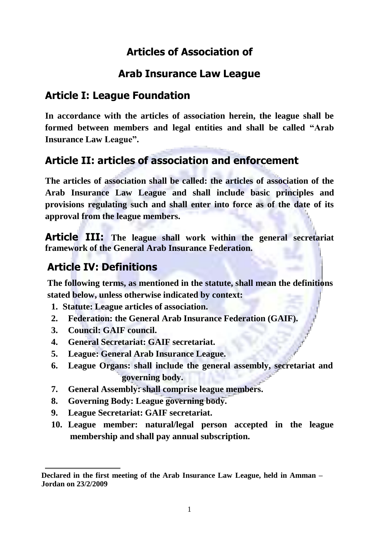# **Articles of Association of**

# **Arab Insurance Law League**

# **Article I: League Foundation**

**In accordance with the articles of association herein, the league shall be formed between members and legal entities and shall be called "Arab Insurance Law League".**

# **Article II: articles of association and enforcement**

**The articles of association shall be called: the articles of association of the Arab Insurance Law League and shall include basic principles and provisions regulating such and shall enter into force as of the date of its approval from the league members.**

**Article III: The league shall work within the general secretariat framework of the General Arab Insurance Federation.**

# **Article IV: Definitions**

**The following terms, as mentioned in the statute, shall mean the definitions stated below, unless otherwise indicated by context:**

- **1. Statute: League articles of association.**
- **2. Federation: the General Arab Insurance Federation (GAIF).**
- **3. Council: GAIF council.**
- **4. General Secretariat: GAIF secretariat.**
- **5. League: General Arab Insurance League.**
- **6. League Organs: shall include the general assembly, secretariat and governing body.**
- **7. General Assembly: shall comprise league members.**
- **8. Governing Body: League governing body.**
- **9. League Secretariat: GAIF secretariat.**
- **10. League member: natural/legal person accepted in the league membership and shall pay annual subscription.**

**Declared in the first meeting of the Arab Insurance Law League, held in Amman – Jordan on 23/2/2009**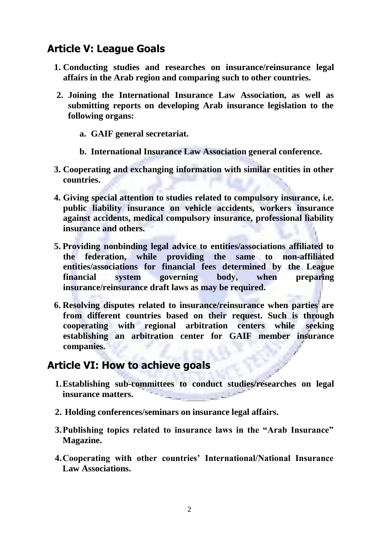# **Article V: League Goals**

- **1. Conducting studies and researches on insurance/reinsurance legal affairs in the Arab region and comparing such to other countries.**
- **2. Joining the International Insurance Law Association, as well as submitting reports on developing Arab insurance legislation to the following organs:**
	- **a. GAIF general secretariat.**
	- **b. International Insurance Law Association general conference.**
- **3. Cooperating and exchanging information with similar entities in other countries.**
- **4. Giving special attention to studies related to compulsory insurance, i.e. public liability insurance on vehicle accidents, workers insurance against accidents, medical compulsory insurance, professional liability insurance and others.**
- **5. Providing nonbinding legal advice to entities/associations affiliated to the federation, while providing the same to non-affiliated entities/associations for financial fees determined by the League financial system governing body, when preparing insurance/reinsurance draft laws as may be required.**
- **6. Resolving disputes related to insurance/reinsurance when parties are from different countries based on their request. Such is through cooperating with regional arbitration centers while seeking establishing an arbitration center for GAIF member insurance companies.**

#### **Article VI: How to achieve goals**

- **1.Establishing sub-committees to conduct studies/researches on legal insurance matters.**
- **2. Holding conferences/seminars on insurance legal affairs.**
- **3.Publishing topics related to insurance laws in the "Arab Insurance" Magazine.**
- **4.Cooperating with other countries' International/National Insurance Law Associations.**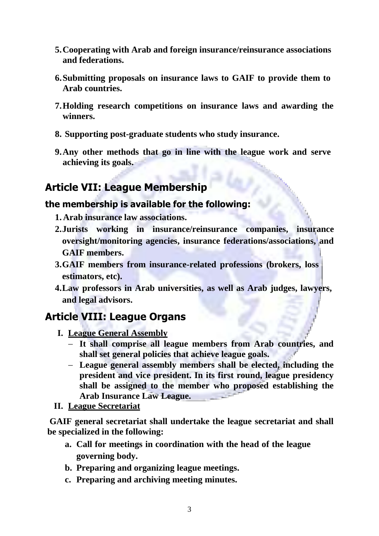- **5.Cooperating with Arab and foreign insurance/reinsurance associations and federations.**
- **6.Submitting proposals on insurance laws to GAIF to provide them to Arab countries.**
- **7.Holding research competitions on insurance laws and awarding the winners.**
- **8. Supporting post-graduate students who study insurance.**
- **9.Any other methods that go in line with the league work and serve achieving its goals.**

# **Article VII: League Membership**

#### **the membership is available for the following:**

- **1. Arab insurance law associations.**
- **2.Jurists working in insurance/reinsurance companies, insurance oversight/monitoring agencies, insurance federations/associations, and GAIF members.**
- **3.GAIF members from insurance-related professions (brokers, loss estimators, etc).**
- **4.Law professors in Arab universities, as well as Arab judges, lawyers, and legal advisors.**

# **Article VIII: League Organs**

- **I. League General Assembly**
	- **It shall comprise all league members from Arab countries, and shall set general policies that achieve league goals.**
	- **League general assembly members shall be elected, including the president and vice president. In its first round, league presidency shall be assigned to the member who proposed establishing the Arab Insurance Law League.**

#### **II. League Secretariat**

**GAIF general secretariat shall undertake the league secretariat and shall be specialized in the following:**

- **a. Call for meetings in coordination with the head of the league governing body.**
- **b. Preparing and organizing league meetings.**
- **c. Preparing and archiving meeting minutes.**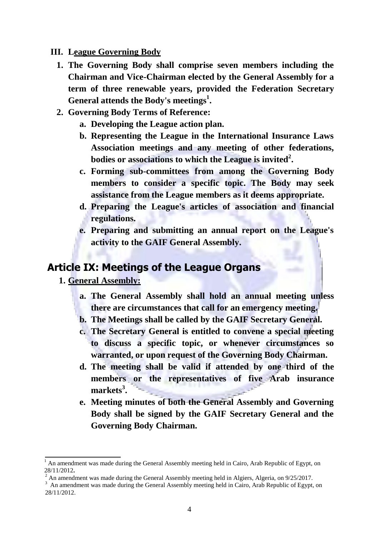#### **III. League Governing Body**

- **1. The Governing Body shall comprise seven members including the Chairman and Vice-Chairman elected by the General Assembly for a term of three renewable years, provided the Federation Secretary General attends the Body's meetings<sup>1</sup> .**
- **2. Governing Body Terms of Reference:**
	- **a. Developing the League action plan.**
	- **b. Representing the League in the International Insurance Laws Association meetings and any meeting of other federations, bodies or associations to which the League is invited<sup>2</sup> .**
	- **c. Forming sub-committees from among the Governing Body members to consider a specific topic. The Body may seek assistance from the League members as it deems appropriate.**
	- **d. Preparing the League's articles of association and financial regulations.**
	- **e. Preparing and submitting an annual report on the League's activity to the GAIF General Assembly.**

#### **Article IX: Meetings of the League Organs**

- **1. General Assembly:**
	- **a. The General Assembly shall hold an annual meeting unless there are circumstances that call for an emergency meeting.**
	- **b. The Meetings shall be called by the GAIF Secretary General.**
	- **c. The Secretary General is entitled to convene a special meeting to discuss a specific topic, or whenever circumstances so warranted, or upon request of the Governing Body Chairman.**
	- **d. The meeting shall be valid if attended by one third of the members or the representatives of five Arab insurance markets<sup>3</sup> .**
	- **e. Meeting minutes of both the General Assembly and Governing Body shall be signed by the GAIF Secretary General and the Governing Body Chairman.**

 $<sup>1</sup>$  An amendment was made during the General Assembly meeting held in Cairo, Arab Republic of Egypt, on</sup> 28/11/2012**.**

<sup>2</sup> An amendment was made during the General Assembly meeting held in Algiers, Algeria, on 9/25/2017.

<sup>&</sup>lt;sup>3</sup> An amendment was made during the General Assembly meeting held in Cairo, Arab Republic of Egypt, on 28/11/2012.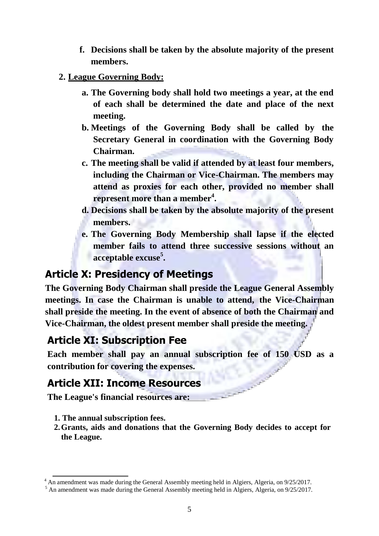- **f. Decisions shall be taken by the absolute majority of the present members.**
- **2. League Governing Body:**
	- **a. The Governing body shall hold two meetings a year, at the end of each shall be determined the date and place of the next meeting.**
	- **b. Meetings of the Governing Body shall be called by the Secretary General in coordination with the Governing Body Chairman.**
	- **c. The meeting shall be valid if attended by at least four members, including the Chairman or Vice-Chairman. The members may attend as proxies for each other, provided no member shall represent more than a member<sup>4</sup> .**
	- **d. Decisions shall be taken by the absolute majority of the present members.**
	- **e. The Governing Body Membership shall lapse if the elected member fails to attend three successive sessions without an acceptable excuse<sup>5</sup> .**

### **Article X: Presidency of Meetings**

**The Governing Body Chairman shall preside the League General Assembly meetings. In case the Chairman is unable to attend, the Vice-Chairman shall preside the meeting. In the event of absence of both the Chairman and Vice-Chairman, the oldest present member shall preside the meeting.**

# **Article XI: Subscription Fee**

**Each member shall pay an annual subscription fee of 150 USD as a contribution for covering the expenses.**

# **Article XII: Income Resources**

**The League's financial resources are:**

- **1. The annual subscription fees.**
- **2.Grants, aids and donations that the Governing Body decides to accept for the League.**

 $4$  An amendment was made during the General Assembly meeting held in Algiers, Algeria, on  $9/25/2017$ .

<sup>&</sup>lt;sup>5</sup> An amendment was made during the General Assembly meeting held in Algiers, Algeria, on 9/25/2017.